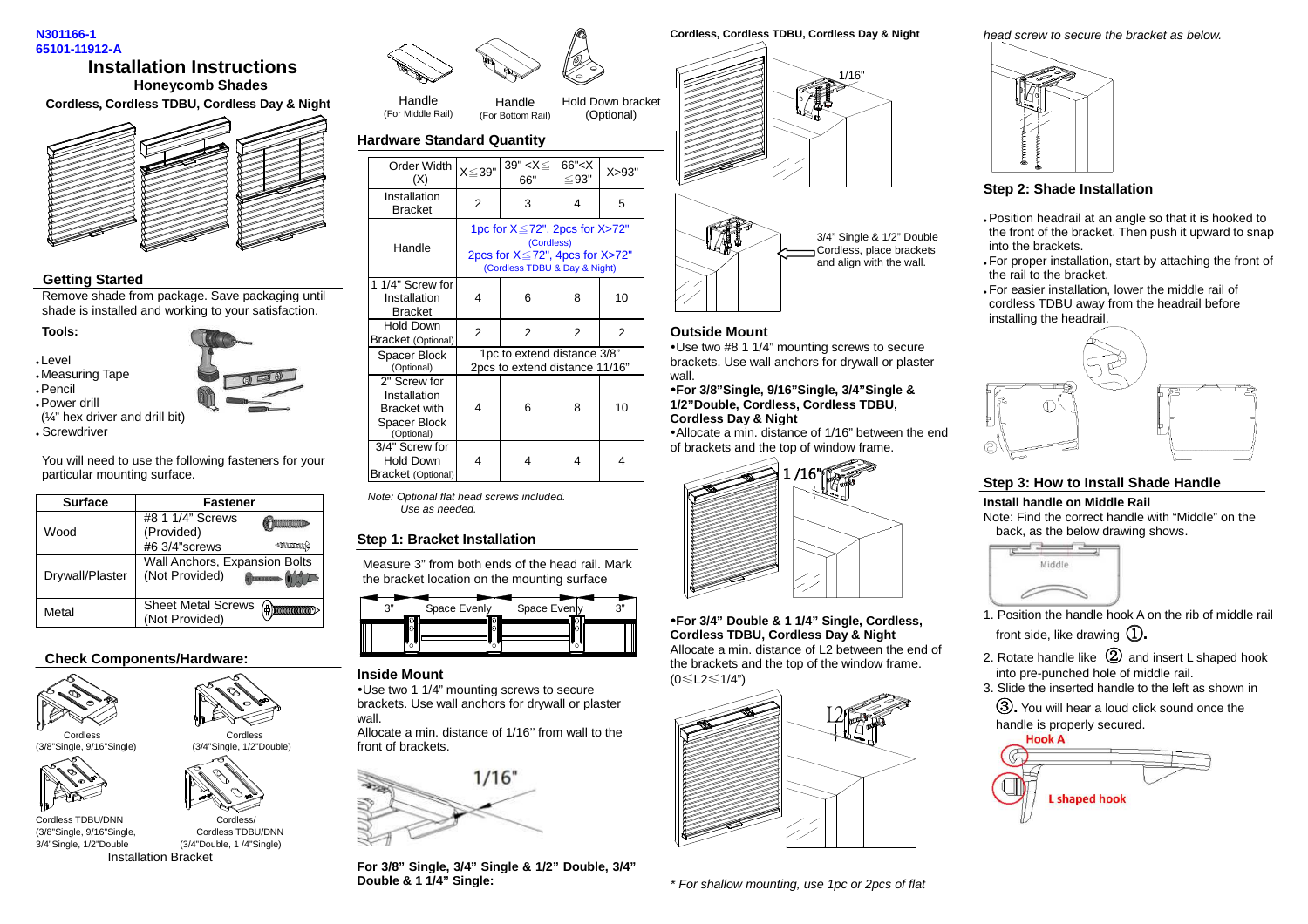#### **N301166-1 65101-11912-A**

# **Installation Instructions Honeycomb Shades**

**Cordless**,**Cordless TDBU, Cordless Day & Night** 



#### **Getting Started**

 Remove shade from package. Save packaging until shade is installed and working to your satisfaction.

#### **Tools:**

Level

Measuring Tape

Pencil

 Power drill (¼" hex driver and drill bit) Screwdriver

You will need to use the following fasteners for your particular mounting surface.

| <b>Surface</b>  | <b>Fastener</b>                                                |  |  |
|-----------------|----------------------------------------------------------------|--|--|
| Wood            | #8 1 1/4" Screws<br>(Provided)                                 |  |  |
|                 | #6 3/4"screws<br><b>AMMUS</b><br>Wall Anchors, Expansion Bolts |  |  |
| Drywall/Plaster | (Not Provided)<br><b>MORNANOUS</b>                             |  |  |
| Metal           | <b>Sheet Metal Screws</b><br>ф<br>(Not Provided)               |  |  |

## **Check Components/Hardware:**







Cordless TDBU/DNN $(3/8"$ Single,  $9/16"$ Single,

Handle (For Bottom Rail) Hold Down bracket (Optional)

**Hardware Standard Quantity**

Handle (For Middle Rail)

| Order Width<br>(X)                                                                | $X \leq 39"$                                                                                                                           | 39" < $X \leq$<br>66" | 66''< X<br>$\leq$ 93" | X > 93" |
|-----------------------------------------------------------------------------------|----------------------------------------------------------------------------------------------------------------------------------------|-----------------------|-----------------------|---------|
| Installation<br><b>Bracket</b>                                                    | $\overline{2}$                                                                                                                         | 3                     | 4                     | 5       |
| Handle                                                                            | 1pc for $X \le 72$ ", 2pcs for $X > 72$ "<br>(Cordless)<br>2pcs for $X \le 72$ ", 4pcs for $X > 72$ "<br>(Cordless TDBU & Day & Night) |                       |                       |         |
| 1 1/4" Screw for<br>Installation<br><b>Bracket</b>                                | 4                                                                                                                                      | 6                     | 8                     | 10      |
| <b>Hold Down</b><br>Bracket (Optional)                                            | $\overline{2}$                                                                                                                         | $\overline{2}$        | 2                     | 2       |
| Spacer Block<br>(Optional)                                                        | 1pc to extend distance 3/8"<br>2pcs to extend distance 11/16"                                                                          |                       |                       |         |
| 2" Screw for<br>Installation<br><b>Bracket with</b><br>Spacer Block<br>(Optional) | 4                                                                                                                                      | 6                     | 8                     | 10      |
| 3/4" Screw for<br><b>Hold Down</b><br>Bracket (Optional)                          | 4                                                                                                                                      | 4                     | 4                     | 4       |

Note: Optional flat head screws included.  $l$  se as needed.

## **Step 1: Bracket Installation**

Measure 3" from both ends of the head rail. Mark the bracket location on the mounting surface

| יר | Space Evenly | Space Evenly | יי כי |
|----|--------------|--------------|-------|
|    |              |              |       |
|    |              |              |       |

#### **Inside Mount**

 -Use two 1 1/4" mounting screws to secure brackets. Use wall anchors for drywall or plaster wall.

 Allocate a min. distance of 1/16'' from wall to thefront of brackets.



**For 3/8" Single, 3/4" Single & 1/2" Double, 3/4" Double & 1 1/4" Single:** 

**Cordless, Cordless TDBU, Cordless Day & Night** 



#### **Outside Mount**

 -Use two #8 1 1/4" mounting screws to secure brackets. Use wall anchors for drywall or plaster wall.

 -**For 3/8"Single, 9/16"Single, 3/4"Single & 1/2"Double, Cordless, Cordless TDBU, Cordless Day & Night**

 -Allocate a min. distance of 1/16" between the end of brackets and the top of window frame.



-**For 3/4" Double & 1 1/4" Single, Cordless, Cordless TDBU, Cordless Day & Night**  Allocate a min. distance of L2 between the end of the brackets and the top of the window frame.

 $(0 \le L2 \le 1/4")$ 



\* For shallow mounting, use 1pc or 2pcs of flat

head screw to secure the bracket as below.



#### **Step 2: Shade Installation**

- Position headrail at an angle so that it is hooked to the front of the bracket. Then push it upward to snap into the brackets.
- For proper installation, start by attaching the front of the rail to the bracket.
- For easier installation, lower the middle rail of cordless TDBU away from the headrail before installing the headrail.



## **Step 3: How to Install Shade Handle**

**Install handle on Middle Rail** 

 Note: Find the correct handle with "Middle" on the back, as the below drawing shows.



- 1. Position the handle hook A on the rib of middle rail
- front side, like drawing  $\mathbb{Q}$ .
- 2. Rotate handle like  $\, {\mathcal D} \,$  and insert L shaped hook into pre-punched hole of middle rail.
- 3. Slide the inserted handle to the left as shown in Ĺ**.** You will hear a loud click sound once the